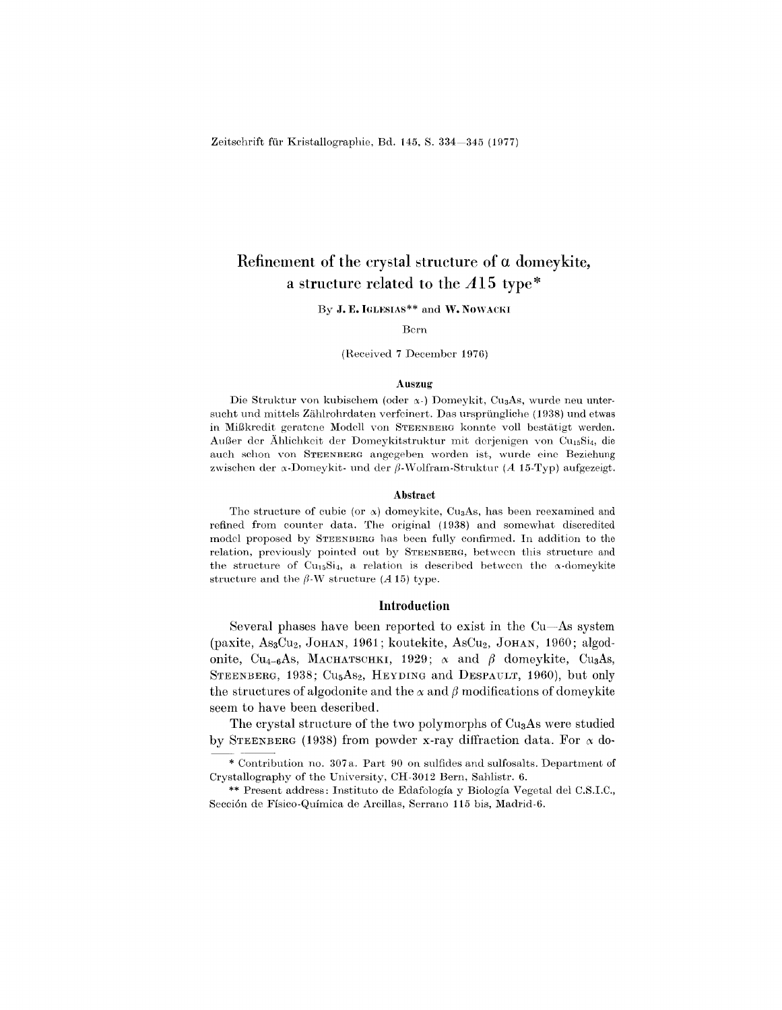# **Refinement of the crystal structure of a domeykite, a structure related to the** *A* **15 type \***

By **J. E. IGLESIAS\*\*** and **W. NOWACKI** 

Bern

(Received 7 December 197G)

### Auszug

Die Struktur von kubischem (oder  $\alpha$ -) Domeykit, Cu<sub>3</sub>As, wurde neu untersucht und mittels Ziihlrohrdaten verfeinert. Das urspriingliche (1938) und etwas in Mil3kredit geratene Modell von STEENBERG konnte voll bestiitigt werden. Außer der Ählichkeit der Domeykitstruktur mit derjenigen von Cu<sub>15</sub>Si<sub>4</sub>, die auch schon von STEENBERG angegeben worden ist, wurde cine Beziehung zwischen der  $\alpha$ -Domeykit- und der  $\beta$ -Wolfram-Struktur *(A* 15-Typ) aufgezeigt.

## Abstract

The structure of cubic (or  $\alpha$ ) domeykite, Cu<sub>3</sub>As, has been reexamined and refined from counter data. The original (1938) and somewhat discredited model proposed by STEENBERG has been fully confirmed. In addition to the relation, previously pointed out by STEENBERG, between this structure and the structure of Cu<sub>15</sub>Si<sub>4</sub>, a relation is described between the  $\alpha$ -domeykite structure and the  $\beta$ -W structure *(A* 15) type.

## **Introduction**

Several phases have been reported to exist in the Cu-As system (paxite, As3CU2, JOHAN, 1961; koutekite, ASCU2, JOHAN, 1960; algodonite, Cu<sub>4-6</sub>As, MACHATSCHKI, 1929;  $\alpha$  and  $\beta$  domeykite, Cu<sub>3</sub>As, STEENBERG, 1938; Cu<sub>5</sub>As<sub>2</sub>, HEYDING and DESPAULT, 1960), but only the structures of algodonite and the  $\alpha$  and  $\beta$  modifications of domeykite seem to have been described.

The crystal structure of the two polymorphs of Cu<sub>3</sub>As were studied by STEENBERG (1938) from powder x-ray diffraction data. For  $\alpha$  do-

Crystallography of the University, CH-3012 Bern, Sahlistr. 6. Contribution no. 307 a. Part 90 on sulfides and sulfosalts. Department of

<sup>\*\*</sup> Present address: Instituto de Edafologia <sup>y</sup> Biologia Vegetal del C.S.I.C., Secci6n de Fisico-Quimica de Arcillas, Serrano 115 bis, Madrid-G.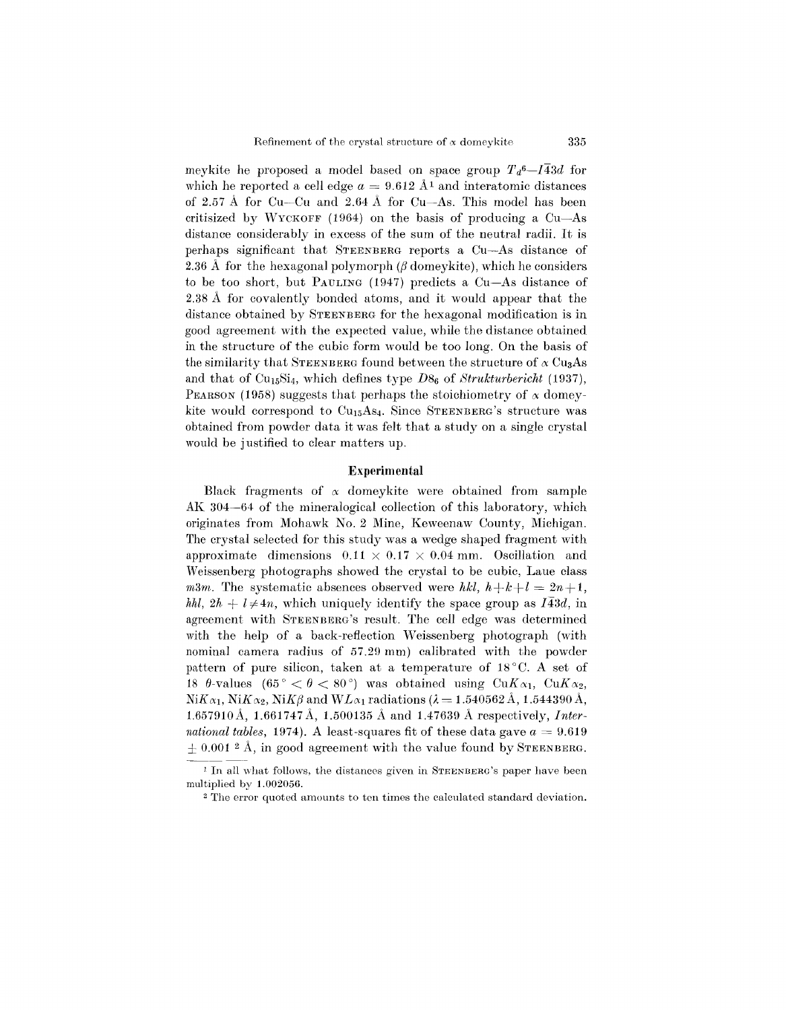meykite he proposed a model based on space group  $T_d^6 - I_4^4 = I_4^4 + I_4^4 = I_4^4 + I_4^4 = I_4^4 + I_4^4 = I_4^4 + I_4^4 = I_4^4 + I_4^4 = I_4^4 + I_4^4 = I_4^4 + I_4^4 = I_4^4 + I_4^4 = I_4^4 + I_4^4 = I_4^4 + I_4^4 = I_4^4 + I_4^4 = I_4^4 + I_4^4 = I_4^4 + I_4^4 = I_4^$ which he reported a cell edge  $a = 9.612 \text{ Å}^1$  and interatomic distances of 2.57 A for Cu-Cu and 2.64 A for Cu-As. This model has been critisized by WYCKOFF (1964) on the basis of producing a Cu-As distance considerably in excess of the sum of the neutral radii. It is perhaps significant that STEENBERG reports a Cu-As distance of 2.36 Å for the hexagonal polymorph  $\beta$  domeykite), which he considers to be too short, but PAULING (1947) predicts a Cu-As distance of 2.38 A for covalently bonded atoms, and it would appear that the distance obtained by STEENBERG for the hexagonal modification is in good agreement with the expected value, while the distance obtained in the structure of the cubie form would be too long. On the basis of the similarity that STEENBERG found between the structure of  $\alpha$  Cu<sub>3</sub>As and that of Cu<sub>15</sub>Si<sub>4</sub>, which defines type  $D8<sub>6</sub>$  of *Strukturbericht* (1937), PEARSON (1958) suggests that perhaps the stoichiometry of  $\alpha$  domeykite would correspond to  $Cu<sub>15</sub>As<sub>4</sub>$ . Since STEENBERG's structure was obtained from powder data it was felt that a study on a single crystal would be justified to clear matters up.

## **Experimental**

Black fragments of  $\alpha$  domeykite were obtained from sample AK 304-64 of the mineralogical collection of this laboratory, which originates from Mohawk No.2 Mine, Keweenaw County, Michigan. The crystal selected for this study was a wedge shaped fragment with approximate dimensions  $0.11 \times 0.17 \times 0.04$  mm. Oscillation and Weissenberg photographs showed the crystal to be cubic, Laue class *m3m.* The systematic absences observed were *hkl,*  $h+k+l = 2n+1$ , *hhl,*  $2h + l \neq 4n$ , which uniquely identify the space group as  $I\overline{4}3d$ , in agreement with STEENBERG'S result. The cell edge was determined with the help of a back-reflection Weissenberg photograph (with nominal camera radius of 57.29 mm) calibrated with the powder pattern of pure silicon, taken at a temperature of  $18\degree C$ . A set of 18  $\theta$ -values (65°  $\lt \theta \lt 80$ °) was obtained using Cu $K_{\alpha_1}$ , Cu $K_{\alpha_2}$ ,  $N$ i $K\alpha_1$ ,  $N$ i $K\alpha_2$ ,  $N$ i $K\beta$  and  $WL\alpha_1$  radiations ( $\lambda = 1.540562 \text{ Å}$ , 1.544390 Å, 1.657910A, 1.661747 A, 1.500135 A and 1.47639 A respectively, *International tables,* 1974). A least-squares fit of these data gave  $a = 9.619$  $\pm 0.001$  <sup>2</sup> Å, in good agreement with the value found by STEENBERG.

<sup>&</sup>lt;sup>1</sup> In all what follows, the distances given in STEENBERG's paper have been multiplied by 1.002056.

<sup>2</sup> The error quoted amounts to ten times the calculated standard deviation.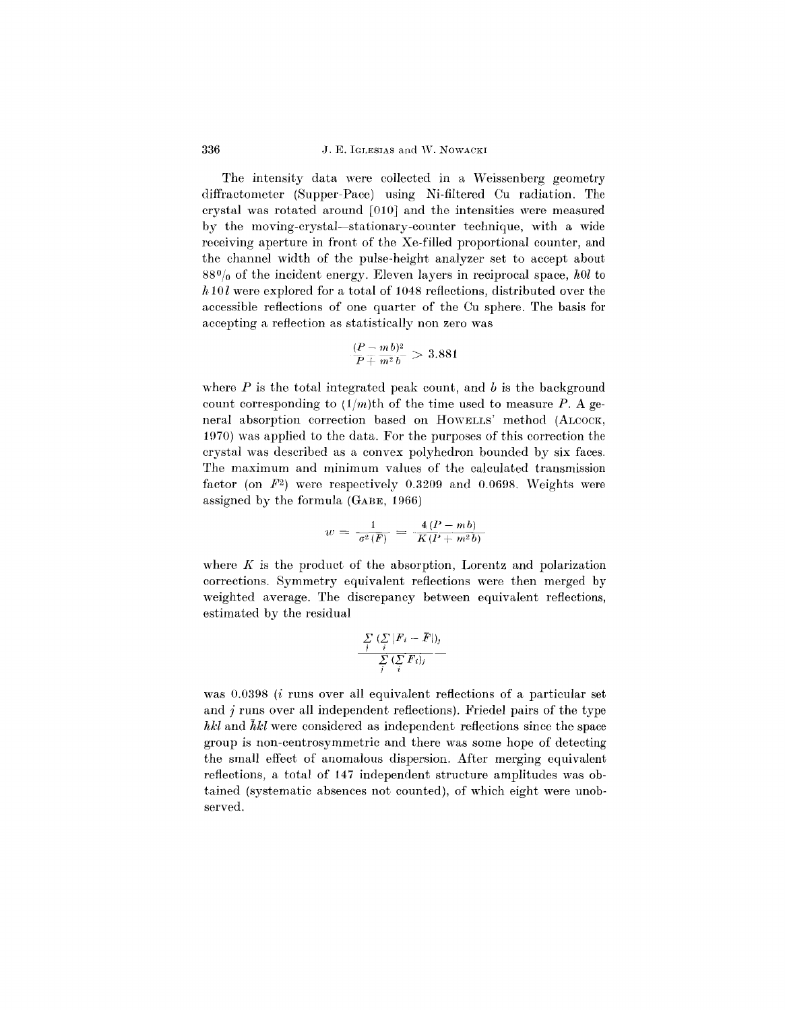# 336 J. E. IGLESIAS and W. NOWACKI

The intensity data were collected in a Weissenberg geometry diffractometer (Supper-Pace) using Ni-filtered Cu radiation. The crystal was rotated around [010] and the intensities were measured by the moving-crystal-stationary-counter technique, with a wide receiving aperture in front of the Xe-filled proportional counter, and the channel width of the pulse-height analyzer set to accept about  $88\%$  of the incident energy. Eleven layers in reciprocal space, hol to  $h10l$  were explored for a total of 1048 reflections, distributed over the accessible reflections of one quarter of the Cu sphere. The basis for accepting a reflection as statistically non zero was

$$
\frac{(P-m\,b)^2}{P+m^2\,b} > 3.881
$$

where *P* is the total integrated peak count, and *b* is the background count corresponding to  $(1/m)$ th of the time used to measure *P*. A general absorption correction based on HOWBLLS' method (ALCOCK, 1970) was applied to the data. For the purposes of this correction the crystal was described as a convex polyhedron bounded by six faces. The maximum and minimum values of the calculated transmission factor (on *F2)* were respectively 0.3209 and 0.0698. Weights were assigned by the formula (GABE, 1966)

$$
w = \frac{1}{\sigma^2(F)} = \frac{4 (P - mb)}{K (P + m^2 b)}
$$

where  $K$  is the product of the absorption, Lorentz and polarization corrections. Symmetry equivalent reflections were then merged by weighted average. The discrepancy between equivalent reflections, estimated by the residual

$$
\frac{\sum\limits_{j}(\sum\limits_{i}|F_{i}-\overline{F}|)_{j}}{\sum\limits_{j}(\sum\limits_{i}F_{i})_{j}}
$$

was 0.0398 *(i runs over all equivalent reflections of a particular set* and *j* runs over all independent reflections). Friedel pairs of the type *hkl* and  $\bar{h}$ kl were considered as independent reflections since the space group is non-centrosymmetric and there was some hope of detecting the small effect of anomalous dispersion. After merging equivalent reflections, a total of **147** independent structure amplitudes was obtained (systematic absences not counted), of which eight were unobserved.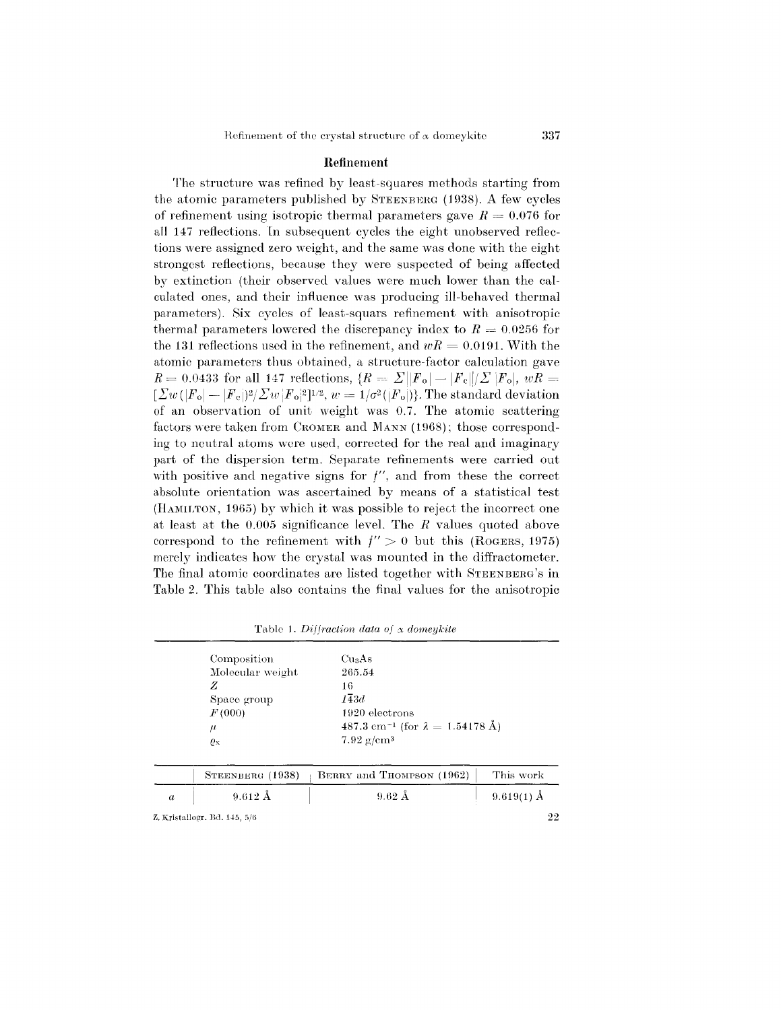## Refinement

The structure was refined by least-squares methods starting from the atomic parameters published by STEENBERG  $(1938)$ . A few cycles of refinement using isotropic thermal parameters gave  $R = 0.076$  for all 147 reflections. In subsequent cycles the eight unobserved reflections were assigned zero weight, and the same was done with the eight strongest reflections, because they were suspected of being affected by extinction (their observed values were much lower than the calculated ones, and their influence was producing ill-behaved thermal parameters). Six cycles of least-squars refinement with anisotropic thermal parameters lowered the discrepancy index to  $R = 0.0256$  for the 131 reflections used in the refinement, and  $wR = 0.0191$ . With the atomic parameters thus obtained, a structure-factor calculation gave  $R = 0.0433$  for all 147 reflections,  $\{R = \Sigma | |F_0| - |F_c| / \Sigma |F_0|, wR =$  $[\Sigma w(|F_{\rm o}| - |F_{\rm e}|)^2/\Sigma w|F_{\rm o}|^2]^{1/2}, w=1/\sigma^2(|F_{\rm o}|)].$  The standard deviati of an observation of unit weight was 0.7. The atomic scattering factors were taken from CROMER and MANN (1968); those corresponding to neutral atoms were used, corrected for the real and imaginary part of the dispersion term. Separate refinements were carried out with positive and negative signs for  $f''$ , and from these the correct absolute orientation was ascertained by means of a statistical test (HAMILTON, 1965) by which it was possible to reject the incorrect one at least at the 0.005 significance level. The *R* values quoted above correspond to the refinement with  $f'' > 0$  but this (ROGERS, 1975) merely indicates how the crystal was mounted in the diffractometer. The final atomic coordinates are listed together with STEENBERG'S in Table 2. This table also contains the final values for the anisotropic

| $\boldsymbol{a}$                     | $9.612 \text{ Å}$    | $9.62 \text{ Å}$                                   | $9.619(1)$ Å |  |             |  |                    |  |  |
|--------------------------------------|----------------------|----------------------------------------------------|--------------|--|-------------|--|--------------------|--|--|
|                                      | STEENBERG (1938)     | BERRY and THOMPSON (1962)                          | This work    |  |             |  |                    |  |  |
|                                      | $\varrho_{\text{x}}$ | $7.92 \text{ g/cm}^3$                              |              |  |             |  |                    |  |  |
| $\mu$                                |                      | 487.3 cm <sup>-1</sup> (for $\lambda = 1.54178$ Å) |              |  |             |  |                    |  |  |
|                                      | F(000)               | 1920 electrons                                     |              |  |             |  |                    |  |  |
| Molecular weight<br>Z<br>Space group |                      | 265.54<br>16<br>$I\overline{4}3d$                  |              |  |             |  |                    |  |  |
|                                      |                      |                                                    |              |  | Composition |  | Cu <sub>3</sub> As |  |  |

Table 1. *Diffraction data of*  $\alpha$  *domeykite*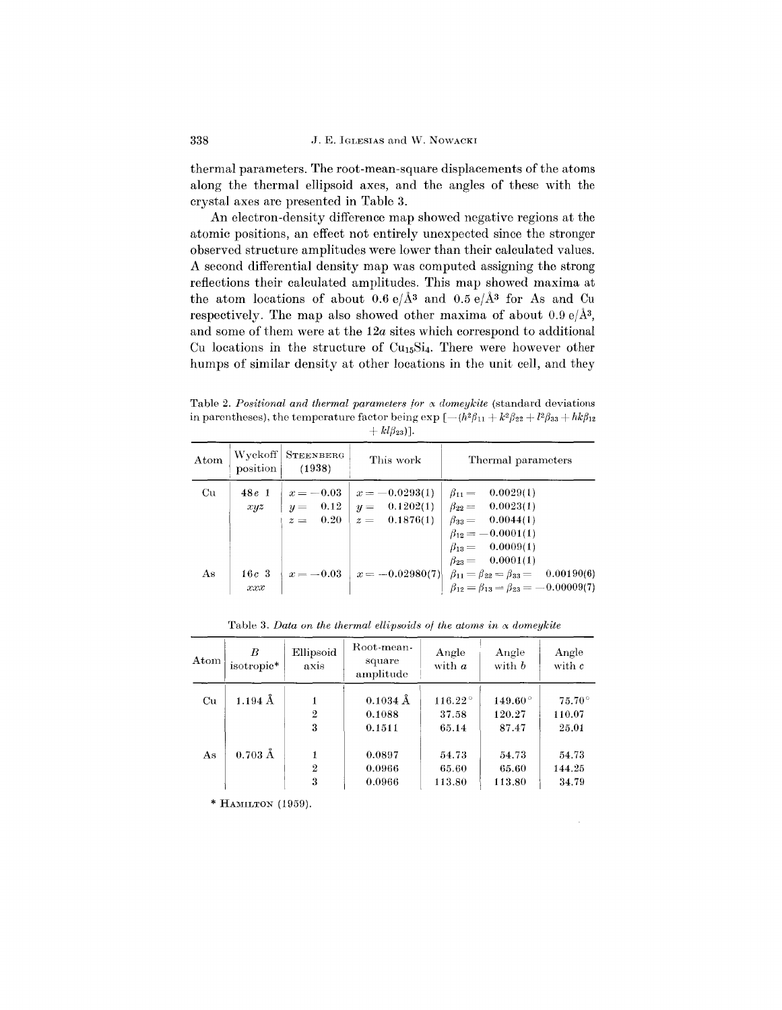thermal parameters. The root-mean-square displacements of the atoms along the thermal ellipsoid axes, and the angles of these with the crystal axes are presented in Table 3.

An electron-density difference map showed negative regions at the atomic positions, an effect not entirely unexpected since the stronger observed structure amplitudes were lower than their calculated values. A second differential density map was computed assigning the strong reflections their calculated amplitudes. This map showed maxima at the atom locations of about  $0.6 e/\text{\AA}^3$  and  $0.5 e/\text{\AA}^3$  for As and Cu respectively. The map also showed other maxima of about  $0.9 e/\text{\AA}^3$ , and some of them were at the *12a* sites which correspond to additional Cu locations in the structure of CU15Si4. There were however other humps of similar density at other locations in the unit cell, and they

Table 2. Positional and thermal parameters for  $\alpha$  domeykite (standard deviations in parentheses), the temperature factor being  $\exp \left[-(h^2 \beta_{11} + k^2 \beta_{22} + l^2 \beta_{33} + hk \beta_{12})\right]$  $+ kl\beta_{23})$ ].

| Atom | position       | Wyckoff   STEENBERG<br>(1938) | This work                    | Thermal parameters                                                                                                                                                                                                        |
|------|----------------|-------------------------------|------------------------------|---------------------------------------------------------------------------------------------------------------------------------------------------------------------------------------------------------------------------|
| Cu   | $48e$ 1        |                               | $x = -0.03$ $x = -0.0293(1)$ | $\beta_{11} = 0.0029(1)$<br>$xyz$ $ y=0.12 y=0.1202(1) \beta_{22}=-0.0023(1)$<br>$z = 0.20$ $z = 0.1876(1)$ $\beta_{33} = 0.0044(1)$<br>$\beta_{12} = -0.0001(1)$<br>$\beta_{13} = 0.0009(1)$<br>$\beta_{23} = 0.0001(1)$ |
| As   | $16c$ 3<br>xxx |                               |                              | $x = -0.03$ $x = -0.02980(7)$ $\beta_{11} = \beta_{22} = \beta_{33} = 0.00190(6)$<br>$\beta_{12} = \beta_{13} = \beta_{23} = -0.00009(7)$                                                                                 |

|  | Table 3. Data on the thermal ellipsoids of the atoms in $\alpha$ domeykite |                            |                         |  |
|--|----------------------------------------------------------------------------|----------------------------|-------------------------|--|
|  | $FH$ <sub>11</sub> Root-mean-                                              | $\Lambda \sim \sim 1 \sim$ | $\Lambda$ and $\Lambda$ |  |

| $_{\rm{Atom}}$ | R<br>isotropic*   | Ellipsoid<br>axis | Root-mean-<br>square<br>amplitude | Angle<br>with a  | Angle<br>with b  | Angle<br>with c |
|----------------|-------------------|-------------------|-----------------------------------|------------------|------------------|-----------------|
| Cu             | $1.194~\AA$       |                   | $0.1034$ Å                        | $116.22^{\circ}$ | $149.60^{\circ}$ | $75.70^{\circ}$ |
|                |                   | $\mathbf 2$       | 0.1088                            | 37.58            | 120.27           | 110.07          |
|                |                   | 3                 | 0.1511                            | 65.14            | 87.47            | 25.01           |
| As             | $0.703 \text{ Å}$ | 1                 | 0.0897                            | 54.73            | 54.73            | 54.73           |
|                |                   | $\overline{2}$    | 0.0966                            | 65.60            | 65.60            | 144.25          |
|                |                   | 3                 | 0.0966                            | 113.80           | 113.80           | 34.79           |
|                |                   |                   |                                   |                  |                  |                 |

 $\bar{z}$ 

\* HAMILTON (1959).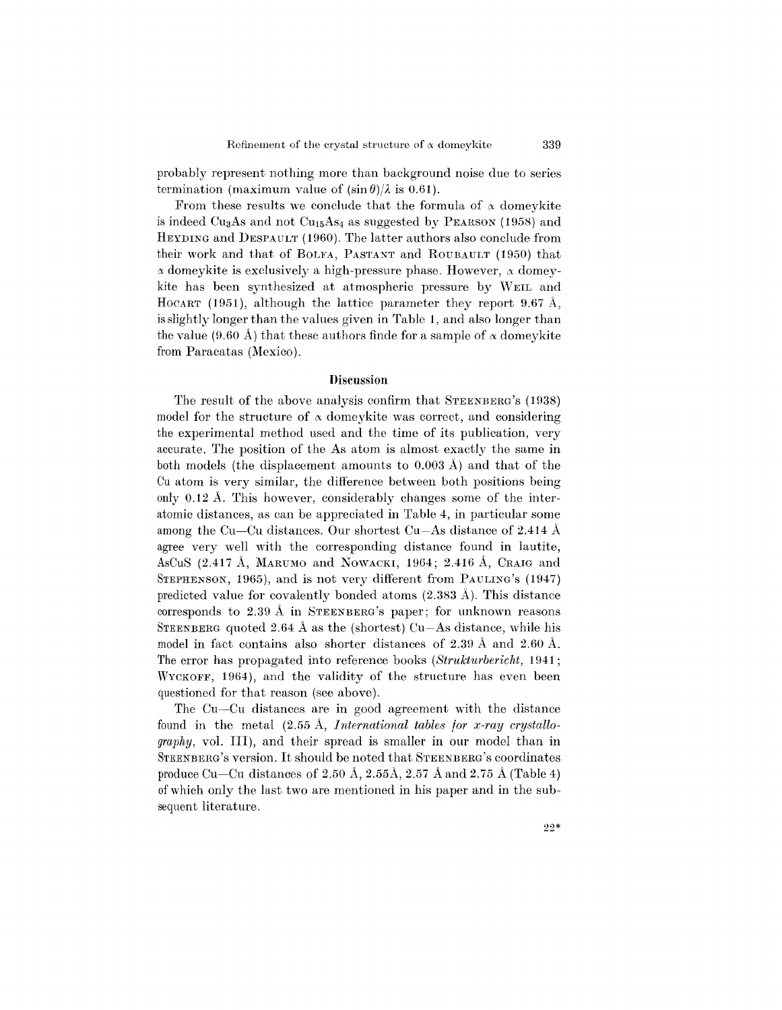probably represent nothing more than background noise due to series termination (maximum value of  $(\sin \theta)/\lambda$  is 0.61).

From these results we conclude that the formula of  $\alpha$  domeykite is indeed Cu<sub>3</sub>As and not Cu<sub>15</sub>As<sub>4</sub> as suggested by PEARSON (1958) and HEYDING and DESPAULT (1960). The latter authors also conclude from their work and that of BOLFA, PASTANT and ROUBAULT (1950) that  $\alpha$  domeykite is exclusively a high-pressure phase. However,  $\alpha$  domeykite has been synthesized at atmospheric pressure by WElL and HOCART (1951), although the lattice parameter they report 9.67 A, is slightly longer than the values given in Table 1, and also longer than the value (9.60 Å) that these authors finde for a sample of  $\alpha$  domeykite from Paracatas (Mexico).

## **Discussion**

The result of the above analysis confirm that STEENBERG'S(1938) model for the structure of  $\alpha$  domeykite was correct, and considering the experimental method used and the time of its publication, very accurate. The position of the As atom is almost exactly the same in both models (the displacement amounts to 0.003 A) and that of the Cu atom is very similar, the difference between both positions being only 0.12 A. This however, considerably changes some of the interatomic distances, as can be appreciated in Table 4, in particular some among the Cu-Cu distances. Our shortest Cu-As distance of 2.414 A agree very well with the corresponding distance found in lautite, AsCuS (2.417 Å, MARUMO and NOWACKI, 1964; 2.416 Å, CRAIG and STEPHENSON, 1965), and is not very different from PAULING's (1947) predicted value for covalently bonded atoms (2.383 A). This distance corresponds to 2.39 A in STEENBERG'S paper; for unknown reasons STEENBERG quoted 2.64 Å as the (shortest) Cu-As distance, while his model in fact contains also shorter distances of 2.39 A and 2.60 A. The error has propagated into reference books *(Strukturbericht,* 1941; WYCKOFF, 1964), and the validity of the structure has even been questioned for that reason (see above).

The Cu-Cu distances are in good agreement with the distance found in the metal (2.55 A, *International tables for x-ray crystallography,* vol. III), and their spread is smaller in our model than in STEENBERG's version. It should be noted that STEENBERG's coordinates produce Cu-Cu distances of 2.50 Å, 2.55Å, 2.57 Å and 2.75 Å (Table 4) of which only the last two are mentioned in his paper and **in** the subsequent literature.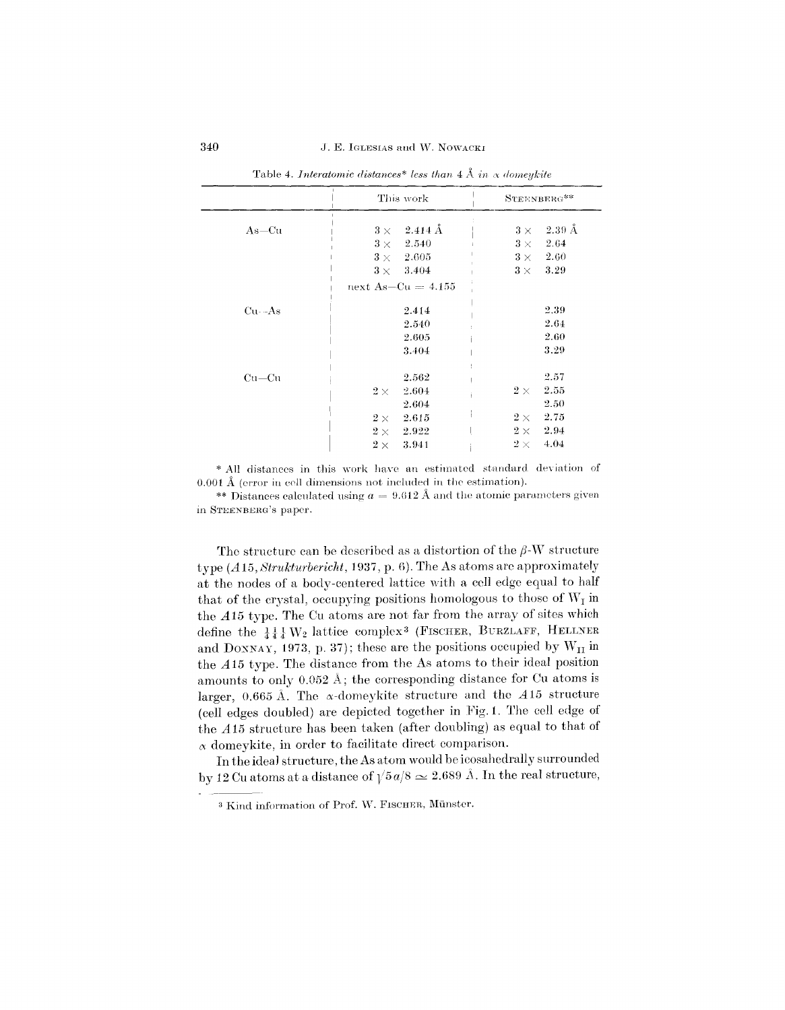|             | This work                    | STEENBERG**                      |
|-------------|------------------------------|----------------------------------|
| $As=Cu$     | $-2.414~\rm\AA$<br>$3\times$ | $-2.39~\text{\AA}$<br>$3 \times$ |
|             | $3 \times 2.540$             | $3\times$ 2.64                   |
|             | $3\times$ 2.605              | $3\times -2.60$                  |
|             | $3 \times 3.404$             | $3\times$<br>3.29                |
|             | next As-Cu $=4.155$          |                                  |
| $Cu - As$   | 2.414                        | 2.39                             |
|             | 2.540                        | 2.64                             |
|             | 2.605                        | 2.60                             |
|             | 3.404                        | 3.29                             |
| $Cu$ — $Cu$ | 2.562                        | 2.57                             |
|             | 2.604<br>$2\times$           | 2.55<br>$2\times$                |
|             | 2.604                        | 2.50                             |
|             | $2\times$<br>2.615           | 2.75<br>$2\times$                |
|             | 2.922<br>$2\times$           | 2.94<br>$2\times$                |
|             | 3.941<br>$2\times$           | 4.04<br>$2\times$                |

Table 4. Interatomic distances\* less than  $4 \text{ Å}$  in  $\alpha$  domeykite

\* All distances in this work have an estimated standard deviation of  $0.001 \text{ Å}$  (error in cell dimensions not included in the estimation).

\*\* Distances calculated using  $a = 9.612$  Å and the atomic parameters given in STEENBERG's paper.

The structure can be described as a distortion of the  $\beta$ -W structure type  $(A15, Struktur bericht, 1937, p. 6)$ . The As atoms are approximately at the nodes of a body-centered lattice with a cell edge equal to half that of the crystal, occupying positions homologous to those of  $W_I$  in the A15 type. The Cu atoms are not far from the array of sites which define the  $\frac{1}{4}\frac{1}{4}\frac{1}{4}W_2$  lattice complex<sup>3</sup> (FISCHER, BURZLAFF, HELLNER and DONNAY, 1973, p. 37); these are the positions occupied by  $W_{II}$  in the A15 type. The distance from the As atoms to their ideal position amounts to only  $0.052 \text{ Å}$ ; the corresponding distance for Cu atoms is larger, 0.665 Å. The  $\alpha$ -domeykite structure and the  $A15$  structure (cell edges doubled) are depicted together in Fig. 1. The cell edge of the A15 structure has been taken (after doubling) as equal to that of  $\alpha$  domeykite, in order to facilitate direct comparison.

In the ideal structure, the As atom would be icosahedrally surrounded by 12 Cu atoms at a distance of  $\sqrt{5a/8} \approx 2.689$  Å. In the real structure,

<sup>&</sup>lt;sup>3</sup> Kind information of Prof. W. FISCHER, Münster.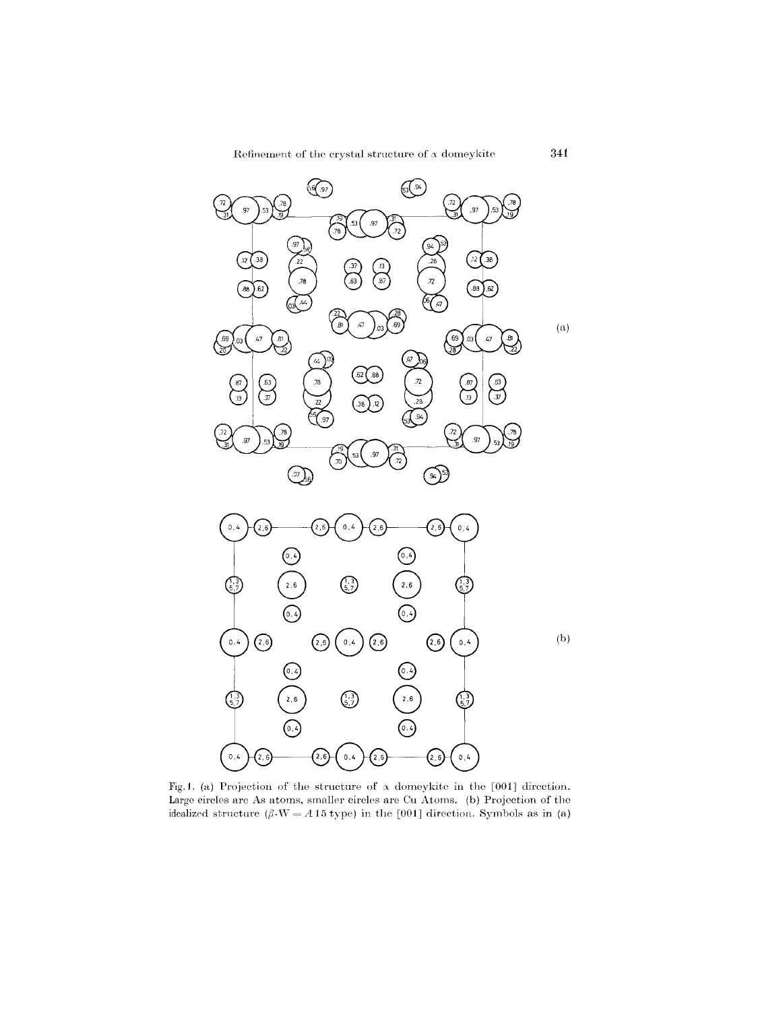Refinement of the crystal structure of  $\alpha$  domeykite **341** 



Fig.1. (a) Projection of the structure of  $\alpha$  domeykitc in the [001] direction. Large circles are As atoms, smaller circles are Cu Atoms. (b) Projection of the idealized structure  $(\beta \cdot W = A 15$  type) in the [001] direction. Symbols as in (a)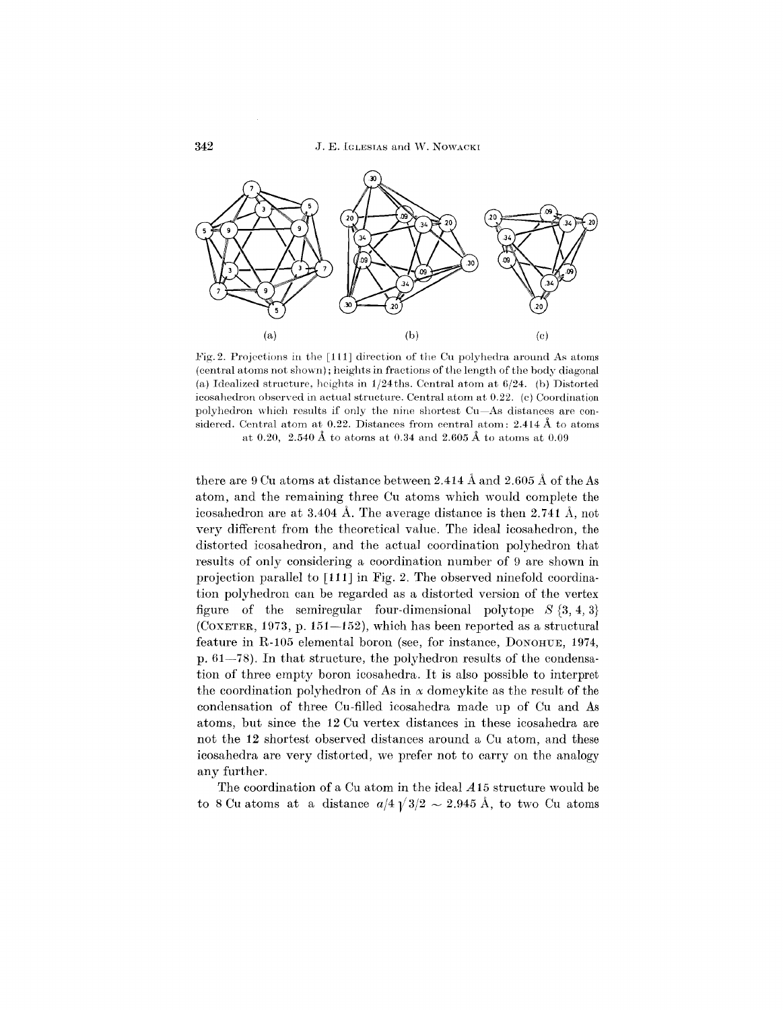

Fig.2. Projections in the [111] direction of the Cu polyhedra around As atoms (central atoms not shown); heights in fractions of the length of the body diagonal (a) Idealized structure, heights in 1/24ths. Central atom at 6/24. (b) Distorted icosahedron observed *in* actual structure. Central atom at 0.22. (c) Coordination polyhedron which results if only the nine shortest Cu-As distances are considered. Central atom at 0.22. Distances from central atom: 2.414 A to atoms at 0.20, 2.540 A to atoms at 0.34 and 2.605 A to atoms at 0.09

there are 9 Cu atoms at distance between 2.414  $\AA$  and 2.605  $\AA$  of the As atom, and the remaining three Cu atoms which would complete the icosahedron are at 3.404 A. The average distance is then 2.741 A, not very different from the theoretical value. The ideal icosahedron, the distorted icosahedron, and the actual coordination polyhedron that results of only considering a coordination number of 9 are shown in projection parallel to [111] in Fig. 2. The observed ninefold coordination polyhedron can be regarded as a distorted version of the vertex figure of the semiregular four-dimensional polytope  $S \{3, 4, 3\}$ (COXETER, 1973, p. 151-152), which has been reported as a structural feature in R-l05 elemental boron (see, for instance, DONOHUE, 1974, p. 61-78). In that structure, the polyhedron results of the condensation of three empty boron icosahedra. It is also possible to interpret the coordination polyhedron of As in  $\alpha$  domeykite as the result of the condensation of three Cu-filled icosahedra made up of Cu and As atoms, but since the 12 Cu vertex distances in these icosahedra are not the 12 shortest observed distances around a Cu atom, and these icosahedra are very distorted, we prefer not to carryon the analogy any further.

The coordination of a Cu atom in the ideal *A* 15 structure would be to 8 Cu atoms at a distance  $a/4\sqrt{3}/2 \sim 2.945 \text{ Å}$ , to two Cu atoms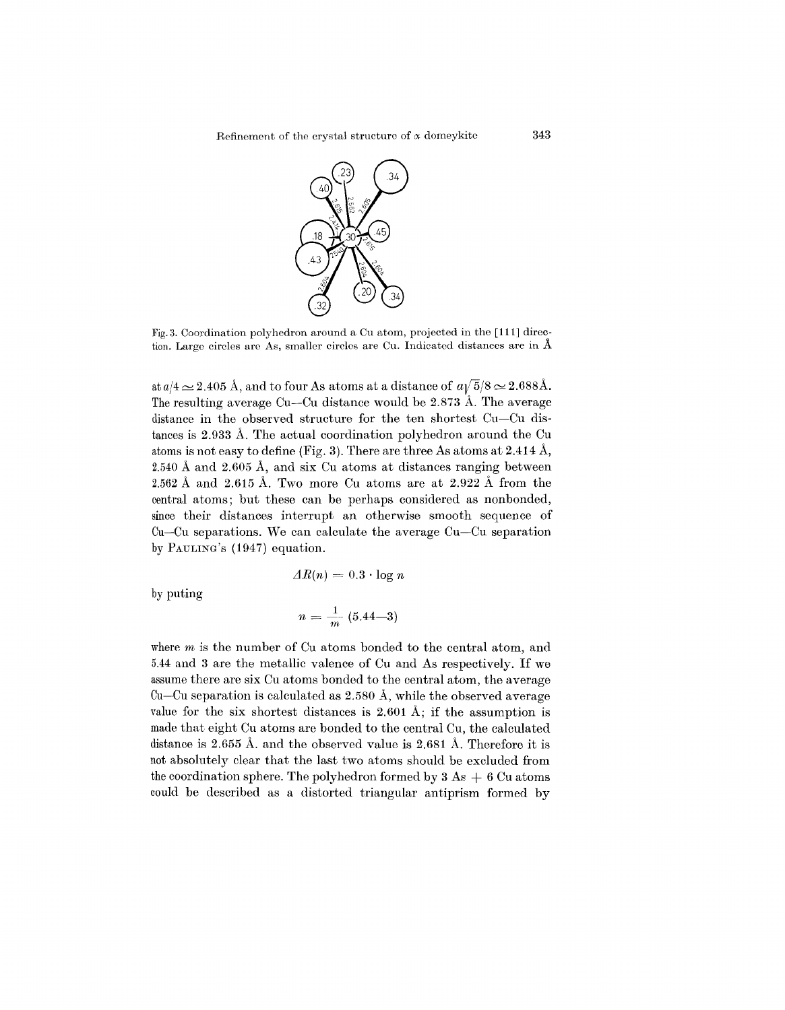

Fig. 3. Coordination poJyhedron around a Cu atom, projected in the [111] direction. Large circles are As, smaller circles are Cu. Indicated distances are in  $\AA$ 

at  $a/4 \simeq 2.405$  Å, and to four As atoms at a distance of  $a\sqrt{5}/8 \simeq 2.688$ Å. The resulting average Cu-Cu distance would be 2.873 A. The average distance in the observed structure for the ten shortest Cu-Cu distances is 2.933 A. The actual coordination polyhedron around the Cu atoms is not easy to define (Fig. 3). There are three As atoms at 2.414 A, 2.540 A and 2.605 A, and six Cu atoms at distances ranging between 2.562 A and 2.615 A. Two more Cu atoms are at 2.922 A from the central atoms; but these can be perhaps considered as nonbonded, since their distances interrupt an otherwise smooth sequence of Ou-Cu separations. We can calculate the average Cu-Cu separation by PAULING's (1947) equation.

$$
\varDelta R(n) = 0.3 \cdot \log n
$$

by puting

$$
n = \frac{1}{m} (5.44 - 3)
$$

where *m* is the number of Cu atoms bonded to the central atom, and 5.44 and 3 are the metallic valence of Cu and As respectively. If we assume there are six Cu atoms bonded to the central atom, the average  $Cu-Cu$  separation is calculated as 2.580 Å, while the observed average value for the six shortest distances is 2.601 A; if the assumption is made that eight Cu atoms are bonded to the central Cu, the calculated distance is 2.655 A. and the observed value is 2.681 A. Therefore it is not absolutely clear that the last two atoms should be excluded from the coordination sphere. The polyhedron formed by  $3 \text{ As} + 6 \text{ Cu atoms}$ could be described as a distorted triangular antiprism formed by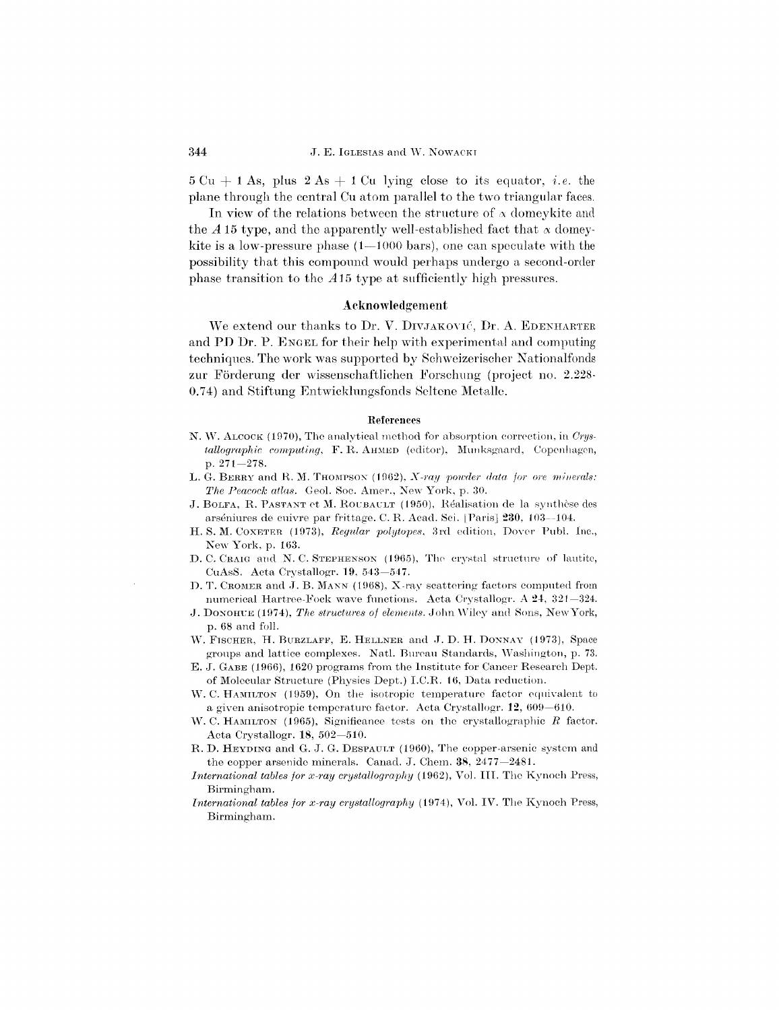$5 \text{ Cu } + 1 \text{ As}, \text{ plus } 2 \text{ As } + 1 \text{ Cu lying close to its equator, } i.e.$ plane through the ccntral Cu atom parallel to the two triangular faces.

In view of the relations between the structure of  $\alpha$  domeykite and the  $\overline{A}$  15 type, and the apparently well-established fact that  $\alpha$  domeykite is a low-pressure phase  $(1-1000 \text{ bars})$ , one can speculate with the possibility that this compound would perhaps undergo a second-order phase transition to the *A* 15 type at sufficiently high pressures.

## Acknowledgement

We extend our thanks to Dr. V. DIVJAKOVIĆ, Dr. A. EDENHARTER and PD Dr. P. ENGEL for their help with experimental and computing techniques. 'The work was supported by Schweizerischer Nationalfonds zur Förderung der wissenschaftlichen Forschung (project no. 2.228-0.74) and Stiftung Entwicklungsfonds Seltene Metalle.

#### References

- N. \V. ALCOCK (1970), The analytical metbod for absorption correction, in *Crystallographic computing*, F. R. AHMED (editor), Munksgaard, Copenhagen, p. 271-278.
- L. G. BERRY and R. M. THOMPSON (1962), *X-ray powder data for ore minerals: The Peacock atlas.* Geol. Soc. Amer., New York, p. 30.
- J. BOLFA, R. PASTANT et M. ROUBAULT (1950), Réalisation de la synthèse des arséniures de cuivre par frittage. C. R. Acad. Sci. [Paris] 230, 103--104.
- H. S. M. COXETER (1973), *Regular polytopes*, 3rd edition, Dover Publ. Inc., New York, p, 163.
- D. C. CRAIG and N. C. STEPHENSON (1965), The crystal structure of lautite, CuAsS. Acta Crystallogr. 19, 543-547.
- D. T. CROMER and J. B. MANN (1968), X-ray scattering factors computed from numerical Hartree-Fock wave functions. Acta Crystallogr. A  $24$ ,  $321-324$ .
- J. DONOHI:E (1974), *The structures of elements,* John \Viky and Sons, New York, p. 68 and foIl.
- W. FISCHER, H. BURZLAFF, E. HELLNER and J. D. H. DONNAY (1973), Space groups and lattice complexes. Natl. Bureau Standards, \Vashington, p. 73.
- E. J. GABE (1966), 1620 programs from the Institute for Cancer Research Dept. of Molecular Structure (Physics DepL) I.C.R. 16, Data reduction.
- W. C. HAMILTON (1959), On the isotropic temperature factor equivalent to a given anisotropic temperature factor. Acta Crystallogr.  $12,609-610$ .
- $W$ . C. HAMILTON (1965), Significance tests on the crystallographic  $R$  factor, Acta Crystallogr, 18, 502-510.
- R. D. HEYDING and G. J. G. DESPAULT (1960), The copper-arsenic system and the copper arsenide minerals. Canad. J. Chem.  $38, 2477-2481$ .
- *International tables for x-ray crystallography* (1962), Vol. III. The Kynoch Press, Birmingham.
- *International tables for x-ray crystallography* (1974), Vol. IV. The Kynoch Press, Birmingham.